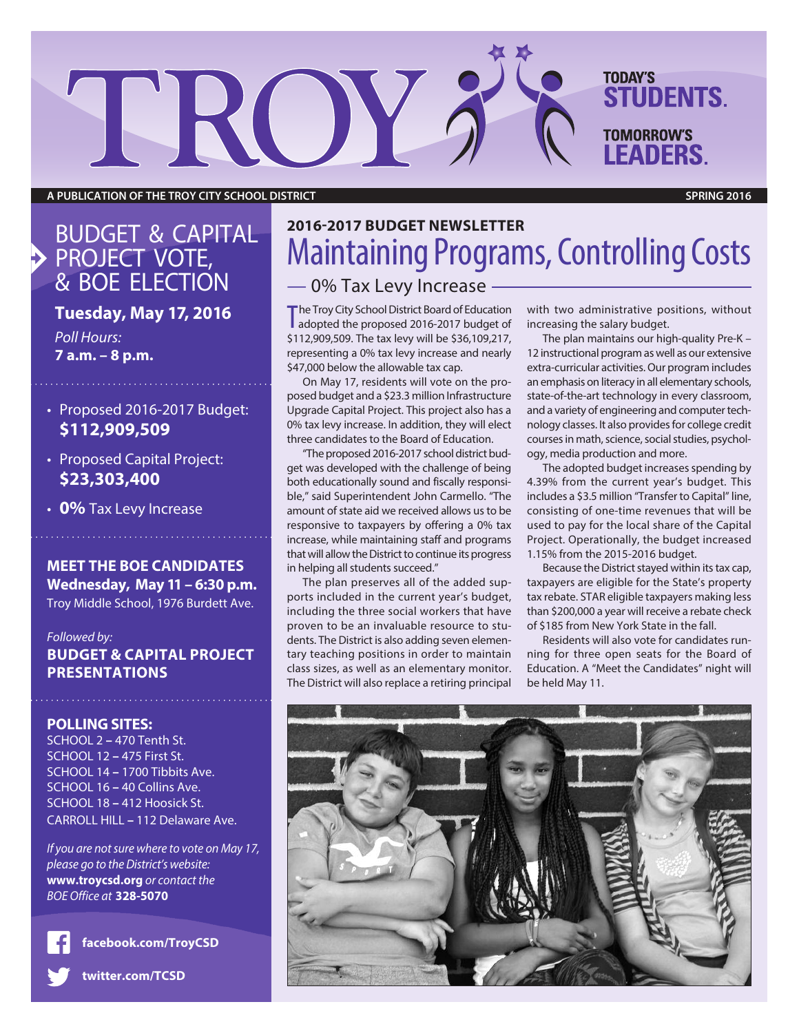**A PUBLICATION OF THE TROY CITY SCHOOL DISTRICT SPRING 2016**

TROY

### BUDGET & CAPITAL PROJECT VOTE, & BOE ELECTION

### **Tuesday, May 17, 2016**

*Poll Hours:* **7 a.m. – 8 p.m.**

- Proposed 2016-2017 Budget: **\$112,909,509**
- Proposed Capital Project: **\$23,303,400**
- **0%** Tax Levy Increase

#### **MEET THE BOE CANDIDATES Wednesday, May 11 – 6:30 p.m.** Troy Middle School, 1976 Burdett Ave.

*Followed by:* **BUDGET & CAPITAL PROJECT PRESENTATIONS**

#### **POLLING SITES:**

SCHOOL 2 **–** 470 Tenth St. SCHOOL 12 **–** 475 First St. SCHOOL 14 **–** 1700 Tibbits Ave. SCHOOL 16 **–** 40 Collins Ave. SCHOOL 18 **–** 412 Hoosick St. CARROLL HILL **–** 112 Delaware Ave.

*If you are notsure where to vote on May 17, please go to the District's website:* **www.troycsd.org** *or contact the BOE Office at* **328-5070**

**facebook.com/TroyCSD**

**twitter.com/TCSD**

## **2016-2017 BUDGET NEWSLETTER Maintaining Programs, Controlling Costs** — 0% Tax Levy Increase

The Troy City School District Board of Education<br>adopted the proposed 2016-2017 budget of adopted the proposed 2016-2017 budget of \$112,909,509. The tax levy will be \$36,109,217, representing a 0% tax levy increase and nearly \$47,000 below the allowable tax cap.

On May 17, residents will vote on the proposed budget and a \$23.3 million Infrastructure Upgrade Capital Project. This project also has a 0% tax levy increase. In addition, they will elect three candidates to the Board of Education.

"The proposed 2016-2017 school district budget was developed with the challenge of being both educationally sound and fiscally responsible," said Superintendent John Carmello. "The amount of state aid we received allows us to be responsive to taxpayers by offering a 0% tax increase, while maintaining staff and programs that will allow the District to continue its progress in helping all students succeed."

dents. The District is also adding seven elementary teaching positions in order to maintain class sizes, as well as an elementary monitor. The District will also replace a retiring principal

with two administrative positions, without increasing the salary budget.

The plan maintains our high-quality Pre-K – 12 instructional program as well as our extensive extra-curricular activities.Our program includes an emphasis on literacy in all elementary schools, state-of-the-art technology in every classroom, and a variety of engineering and computer technology classes. It also provides for college credit courses in math, science, social studies, psychology, media production and more.

The adopted budget increases spending by 4.39% from the current year's budget. This includes a \$3.5 million "Transfer to Capital" line, consisting of one-time revenues that will be used to pay for the local share of the Capital Project. Operationally, the budget increased 1.15% from the 2015-2016 budget.

Because the District stayed within its tax cap, taxpayers are eligible for the State's property tax rebate. STAR eligible taxpayers making less than \$200,000 a year will receive a rebate check of \$185 from New York State in the fall.

Residents will also vote for candidates running for three open seats for the Board of Education. A "Meet the Candidates" night will be held May 11.

## The plan preserves all of the added supports included in the current year's budget, including the three social workers that have proven to be an invaluable resource to stu-





**TODAY'S**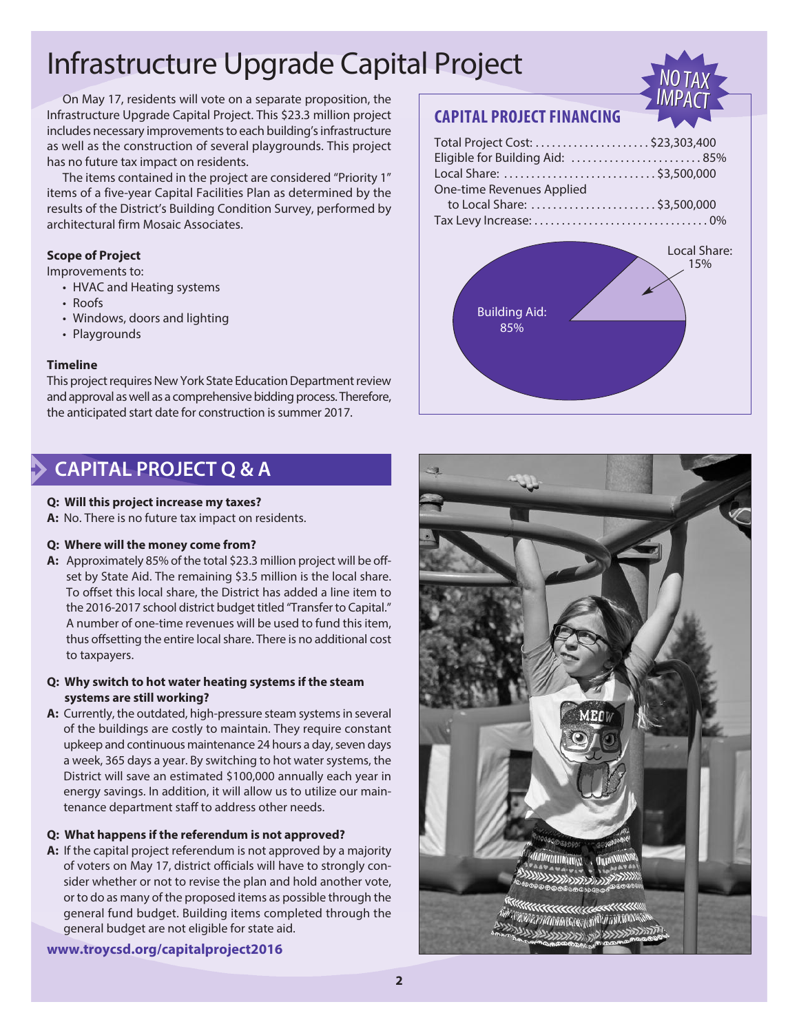# Infrastructure Upgrade Capital Project

 On May 17, residents will vote on a separate proposition, the Infrastructure Upgrade Capital Project. This \$23.3 million project includes necessary improvements to each building's infrastructure as well as the construction of several playgrounds. This project has no future tax impact on residents.

 The items contained in the project are considered "Priority 1" items of a five-year Capital Facilities Plan as determined by the results of the District's Building Condition Survey, performed by architectural firm Mosaic Associates.

#### **Scope of Project**

Improvements to:

- HVAC and Heating systems
- Roofs
- Windows, doors and lighting
- Playgrounds

#### **Timeline**

This project requires New York State Education Department review and approval as well as a comprehensive bidding process. Therefore, the anticipated start date for construction is summer 2017.

## NO TAX<br>IMPACT NO TAX<br>IMPACT

### **CAPITAL PROJECT FINANCING**

| Eligible for Building Aid: 85% |
|--------------------------------|
|                                |
|                                |
|                                |
|                                |
|                                |
| Local Share:<br>1E0/2          |
|                                |



### **CAPITAL PROJECT Q & A**

#### **Q: Will this project increase my taxes?**

**A:** No. There is no future tax impact on residents.

#### **Q: Where will the money come from?**

- **A:** Approximately 85% of the total \$23.3 million project will be offset by State Aid. The remaining \$3.5 million is the local share. To offset this local share, the District has added a line item to the 2016-2017 school district budget titled "Transfer to Capital." A number of one-time revenues will be used to fund this item, thus offsetting the entire local share. There is no additional cost to taxpayers.
- **Q: Why switch to hot water heating systems if the steam systems are still working?**
- A: Currently, the outdated, high-pressure steam systems in several of the buildings are costly to maintain. They require constant upkeep and continuous maintenance 24 hours a day, seven days a week, 365 days a year. By switching to hot water systems, the District will save an estimated \$100,000 annually each year in energy savings. In addition, it will allow us to utilize our maintenance department staff to address other needs.

#### **Q: What happens if the referendum is not approved?**

**A:** If the capital project referendum is not approved by a majority of voters on May 17, district officials will have to strongly consider whether or not to revise the plan and hold another vote, or to do as many of the proposed items as possible through the general fund budget. Building items completed through the general budget are not eligible for state aid.

**www.troycsd.org/capitalproject2016**

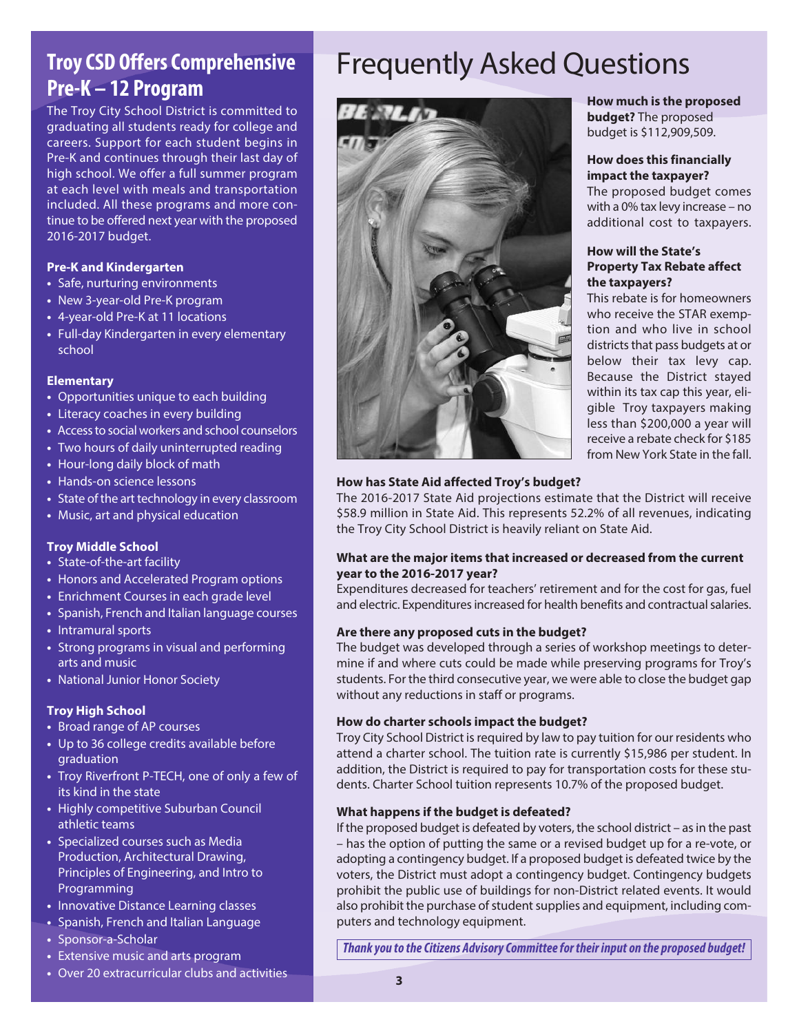## **Troy CSD Offers Comprehensive Pre-K – 12 Program**

The Troy City School District is committed to graduating all students ready for college and careers. Support for each student begins in Pre-K and continues through their last day of high school. We offer a full summer program at each level with meals and transportation included. All these programs and more continue to be offered next year with the proposed 2016-2017 budget.

#### **Pre-K and Kindergarten**

- **•** Safe, nurturing environments
- **•** New 3-year-old Pre-K program
- **•** 4-year-old Pre-K at 11 locations
- **•** Full-day Kindergarten in every elementary school

#### **Elementary**

- **•** Opportunities unique to each building
- **•** Literacy coaches in every building
- **•** Accessto social workers and school counselors
- **•** Two hours of daily uninterrupted reading
- **•** Hour-long daily block of math
- **•** Hands-on science lessons
- **•** State of the art technology in every classroom
- **•** Music, art and physical education

#### **Troy Middle School**

- **•** State-of-the-art facility
- **•** Honors and Accelerated Program options
- **•** Enrichment Courses in each grade level
- **•** Spanish, French and Italian language courses
- **•** Intramural sports
- **•** Strong programs in visual and performing arts and music
- **•** National Junior Honor Society

#### **Troy High School**

- **•** Broad range of AP courses
- **•** Up to 36 college credits available before graduation
- **•** Troy Riverfront P-TECH, one of only a few of its kind in the state
- **•** Highly competitive Suburban Council athletic teams
- **•** Specialized courses such as Media Production, Architectural Drawing, Principles of Engineering, and Intro to Programming
- **•** Innovative Distance Learning classes
- **•** Spanish, French and Italian Language
- **•** Sponsor-a-Scholar
- **•** Extensive music and arts program
- **•** Over 20 extracurricular clubs and activities

## Frequently Asked Questions



#### **How much is the proposed budget?** The proposed budget is \$112,909,509.

#### **How does this financially impact the taxpayer?**

The proposed budget comes with a 0% tax levy increase – no additional cost to taxpayers.

#### **How will the State's Property Tax Rebate affect the taxpayers?**

This rebate is for homeowners who receive the STAR exemption and who live in school districts that pass budgets at or below their tax levy cap. Because the District stayed within its tax cap this year, eligible Troy taxpayers making less than \$200,000 a year will receive a rebate check for \$185 from New York State in the fall.

#### **How has State Aid affected Troy's budget?**

The 2016-2017 State Aid projections estimate that the District will receive \$58.9 million in State Aid. This represents 52.2% of all revenues, indicating the Troy City School District is heavily reliant on State Aid.

#### **What are the major items that increased or decreased from the current year to the 2016-2017 year?**

Expenditures decreased for teachers' retirement and for the cost for gas, fuel and electric. Expenditures increased for health benefits and contractual salaries.

#### **Are there any proposed cuts in the budget?**

The budget was developed through a series of workshop meetings to determine if and where cuts could be made while preserving programs for Troy's students. For the third consecutive year, we were able to close the budget gap without any reductions in staff or programs.

#### **How do charter schools impact the budget?**

Troy City School District is required by law to pay tuition for our residents who attend a charter school. The tuition rate is currently \$15,986 per student. In addition, the District is required to pay for transportation costs for these students. Charter School tuition represents 10.7% of the proposed budget.

#### **What happens if the budget is defeated?**

If the proposed budget is defeated by voters, the school district  $-$  as in the past – has the option of putting the same or a revised budget up for a re-vote, or adopting a contingency budget. If a proposed budget is defeated twice by the voters, the District must adopt a contingency budget. Contingency budgets prohibit the public use of buildings for non-District related events. It would also prohibit the purchase of student supplies and equipment, including computers and technology equipment.

*Thankyou to theCitizens AdvisoryCommitteefor their input on the proposed budget!*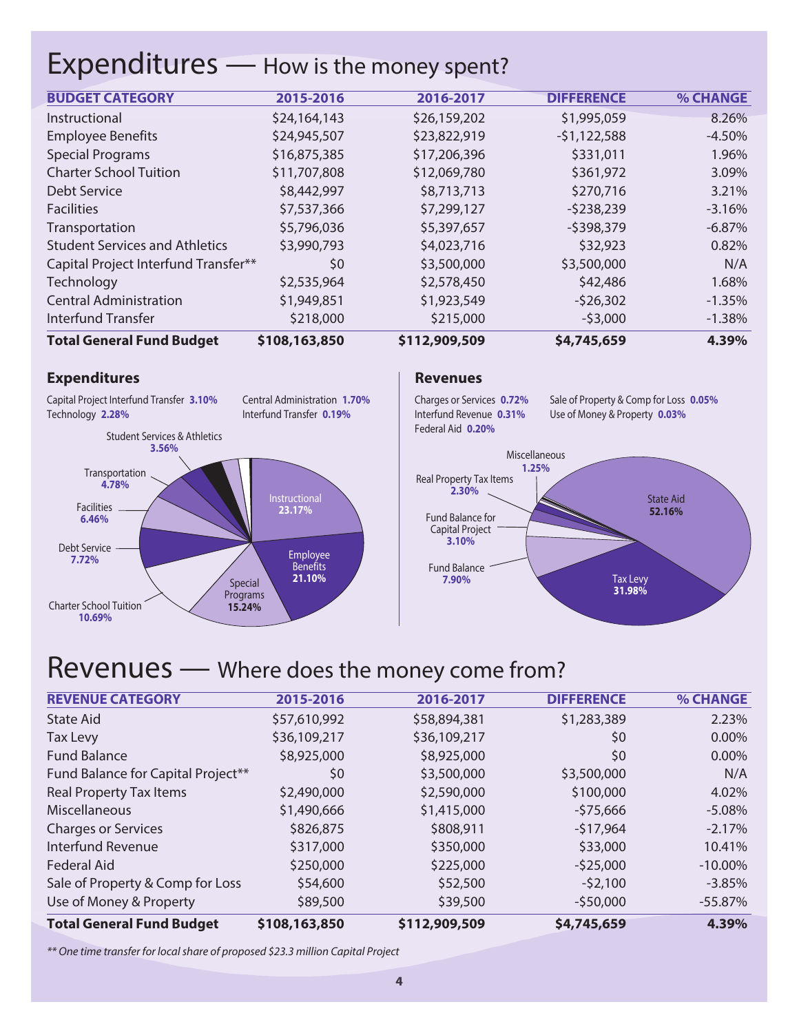## Expenditures — How is the money spent?

| Interfund Transfer<br><b>Total General Fund Budget</b> | \$218,000<br>\$108,163,850 | \$215,000<br>\$112,909,509 | $-53,000$<br>\$4,745,659 | $-1.38\%$<br>4.39% |
|--------------------------------------------------------|----------------------------|----------------------------|--------------------------|--------------------|
| <b>Central Administration</b>                          | \$1,949,851                | \$1,923,549                | $-526,302$               | $-1.35%$           |
| Technology                                             | \$2,535,964                | \$2,578,450                | \$42,486                 | 1.68%              |
| Capital Project Interfund Transfer**                   | \$0                        | \$3,500,000                | \$3,500,000              | N/A                |
| <b>Student Services and Athletics</b>                  | \$3,990,793                | \$4,023,716                | \$32,923                 | 0.82%              |
| Transportation                                         | \$5,796,036                | \$5,397,657                | $-5398,379$              | $-6.87%$           |
| <b>Facilities</b>                                      | \$7,537,366                | \$7,299,127                | $-5238,239$              | $-3.16%$           |
| <b>Debt Service</b>                                    | \$8,442,997                | \$8,713,713                | \$270,716                | 3.21%              |
| <b>Charter School Tuition</b>                          | \$11,707,808               | \$12,069,780               | \$361,972                | 3.09%              |
| <b>Special Programs</b>                                | \$16,875,385               | \$17,206,396               | \$331,011                | 1.96%              |
| <b>Employee Benefits</b>                               | \$24,945,507               | \$23,822,919               | $-51,122,588$            | $-4.50%$           |
| Instructional                                          | \$24,164,143               | \$26,159,202               | \$1,995,059              | 8.26%              |
| <b>BUDGET CATEGORY</b>                                 | 2015-2016                  | 2016-2017                  | <b>DIFFERENCE</b>        | <b>% CHANGE</b>    |

#### **Expenditures Revenues**

**10.69%**

Transportation **4.78%** Special Programs **15.24%** Student Services & Athletics **3.56%** Facilities **6.46%** Instructional **23.17%** Employee Benefits **21.10%** Central Administration **1.70%** Interfund Transfer **0.19%** Capital Project Interfund Transfer **3.10%** Technology **2.28%** Debt Service **7.72%** Charter School Tuition

Charges or Services **0.72%** Interfund Revenue **0.31%** Federal Aid **0.20%**

Sale of Property & Comp for Loss **0.05%** Use of Money & Property **0.03%**



## Revenues — Where does the money come from?

|                                           |              | $-550,000$           | $-55.87%$       |
|-------------------------------------------|--------------|----------------------|-----------------|
| \$54,600                                  | \$52,500     | $-52,100$            | $-3.85%$        |
| \$250,000                                 | \$225,000    | $-525,000$           | $-10.00\%$      |
| \$317,000                                 | \$350,000    | \$33,000             | 10.41%          |
| \$826,875                                 | \$808,911    | $-517,964$           | $-2.17%$        |
| \$1,490,666                               | \$1,415,000  | $-575,666$           | $-5.08%$        |
| \$2,490,000                               | \$2,590,000  | \$100,000            | 4.02%           |
| Fund Balance for Capital Project**<br>\$0 | \$3,500,000  | \$3,500,000          | N/A             |
| \$8,925,000                               | \$8,925,000  | \$0                  | $0.00\%$        |
| \$36,109,217                              | \$36,109,217 | \$0                  | $0.00\%$        |
| \$57,610,992                              | \$58,894,381 | \$1,283,389          | 2.23%           |
| 2015-2016                                 | 2016-2017    | <b>DIFFERENCE</b>    | <b>% CHANGE</b> |
|                                           |              | \$89,500<br>\$39,500 |                 |

*\*\* One time transfer for localshare of proposed \$23.3 million Capital Project*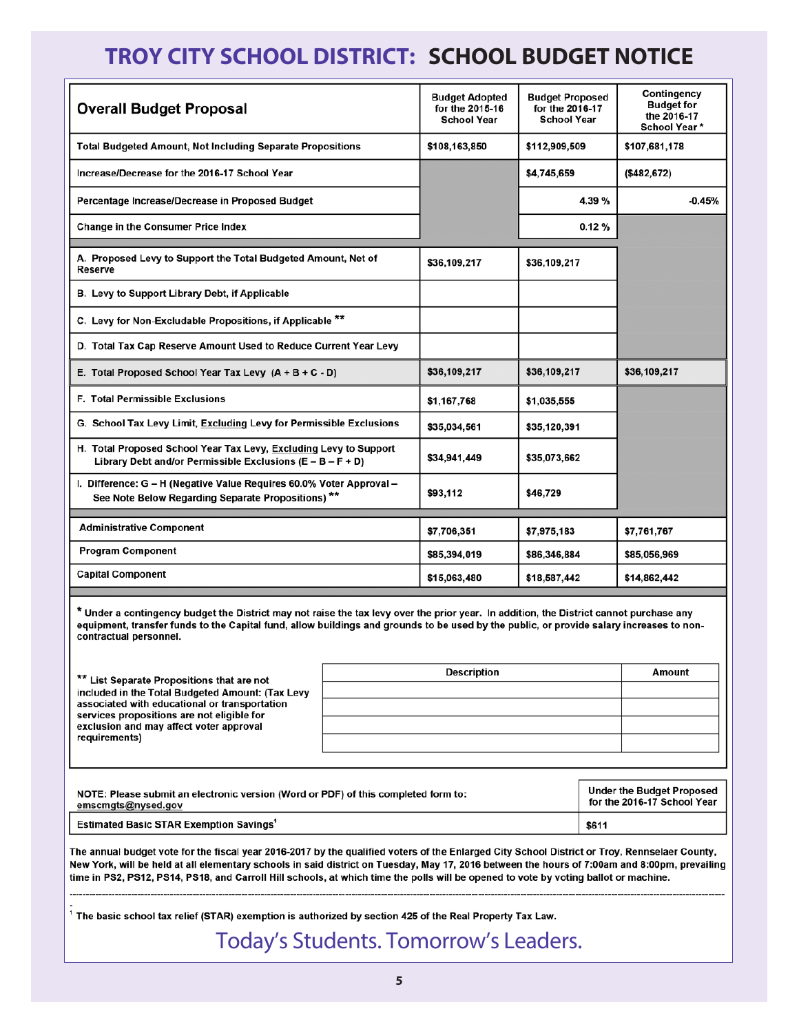## **TROY CITY SCHOOL DISTRICT: SCHOOL BUDGET NOTICE**

| <b>Overall Budget Proposal</b>                                                                                                  | <b>Budget Adopted</b><br>for the 2015-16<br><b>School Year</b> | <b>Budget Proposed</b><br>for the 2016-17<br><b>School Year</b> | Contingency<br><b>Budget for</b><br>the 2016-17<br><b>School Year*</b> |
|---------------------------------------------------------------------------------------------------------------------------------|----------------------------------------------------------------|-----------------------------------------------------------------|------------------------------------------------------------------------|
| <b>Total Budgeted Amount, Not Including Separate Propositions</b>                                                               | \$108,163,850                                                  | \$112,909,509                                                   | \$107,681,178                                                          |
| Increase/Decrease for the 2016-17 School Year                                                                                   |                                                                | \$4,745,659                                                     | (\$482, 672)                                                           |
| Percentage Increase/Decrease in Proposed Budget                                                                                 |                                                                | 4.39 %                                                          | $-0.45%$                                                               |
| <b>Change in the Consumer Price Index</b>                                                                                       |                                                                | 0.12%                                                           |                                                                        |
| A. Proposed Levy to Support the Total Budgeted Amount, Net of<br>Reserve                                                        | \$36,109,217                                                   | \$36,109,217                                                    |                                                                        |
| B. Levy to Support Library Debt, if Applicable                                                                                  |                                                                |                                                                 |                                                                        |
| C. Levy for Non-Excludable Propositions, if Applicable **                                                                       |                                                                |                                                                 |                                                                        |
| D. Total Tax Cap Reserve Amount Used to Reduce Current Year Levy                                                                |                                                                |                                                                 |                                                                        |
| E. Total Proposed School Year Tax Levy $(A + B + C - D)$                                                                        | \$36,109,217                                                   | \$36,109,217                                                    | \$36,109,217                                                           |
| <b>F. Total Permissible Exclusions</b>                                                                                          | \$1,167,768                                                    | \$1,035,555                                                     |                                                                        |
| G. School Tax Levy Limit, Excluding Levy for Permissible Exclusions                                                             | \$35,034,561                                                   | \$35,120,391                                                    |                                                                        |
| H. Total Proposed School Year Tax Levy, Excluding Levy to Support<br>Library Debt and/or Permissible Exclusions (E - B - F + D) | \$34,941,449                                                   | \$35,073,662                                                    |                                                                        |
| I. Difference: G - H (Negative Value Requires 60.0% Voter Approval -<br>See Note Below Regarding Separate Propositions) **      | \$93,112                                                       | \$46,729                                                        |                                                                        |
| <b>Administrative Component</b>                                                                                                 | \$7,706,351                                                    | \$7,975,183                                                     | \$7,761,767                                                            |
| <b>Program Component</b>                                                                                                        | \$85,394,019                                                   | \$86,346,884                                                    | \$85,056,969                                                           |
| <b>Capital Component</b>                                                                                                        | \$15,063,480                                                   | \$18,587,442                                                    | \$14,862,442                                                           |

\* Under a contingency budget the District may not raise the tax levy over the prior year. In addition, the District cannot purchase any equipment, transfer funds to the Capital fund, allow buildings and grounds to be used by the public, or provide salary increases to noncontractual personnel.

| ** List Separate Propositions that are not                                                                                                                                                                  | <b>Description</b> | Amount |
|-------------------------------------------------------------------------------------------------------------------------------------------------------------------------------------------------------------|--------------------|--------|
| included in the Total Budgeted Amount: (Tax Levy<br>associated with educational or transportation<br>services propositions are not eligible for<br>exclusion and may affect voter approval<br>requirements) |                    |        |
|                                                                                                                                                                                                             |                    |        |
|                                                                                                                                                                                                             |                    |        |
|                                                                                                                                                                                                             |                    |        |
|                                                                                                                                                                                                             |                    |        |

| NOTE: Please submit an electronic version (Word or PDF) of this completed form to: | Under the Budget Proposed   |
|------------------------------------------------------------------------------------|-----------------------------|
| emscmgts@nysed.gov                                                                 | for the 2016-17 School Year |
| <b>Estimated Basic STAR Exemption Savings<sup>1</sup></b>                          | \$611                       |

The annual budget vote for the fiscal year 2016-2017 by the qualified voters of the Enlarged City School District or Troy, Rennselaer County, New York, will be held at all elementary schools in said district on Tuesday, May 17, 2016 between the hours of 7:00am and 8:00pm, prevailing time in PS2, PS12, PS14, PS18, and Carroll Hill schools, at which time the polls will be opened to vote by voting ballot or machine.

The basic school tax relief (STAR) exemption is authorized by section 425 of the Real Property Tax Law.

## Today's Students. Tomorrow's Leaders.